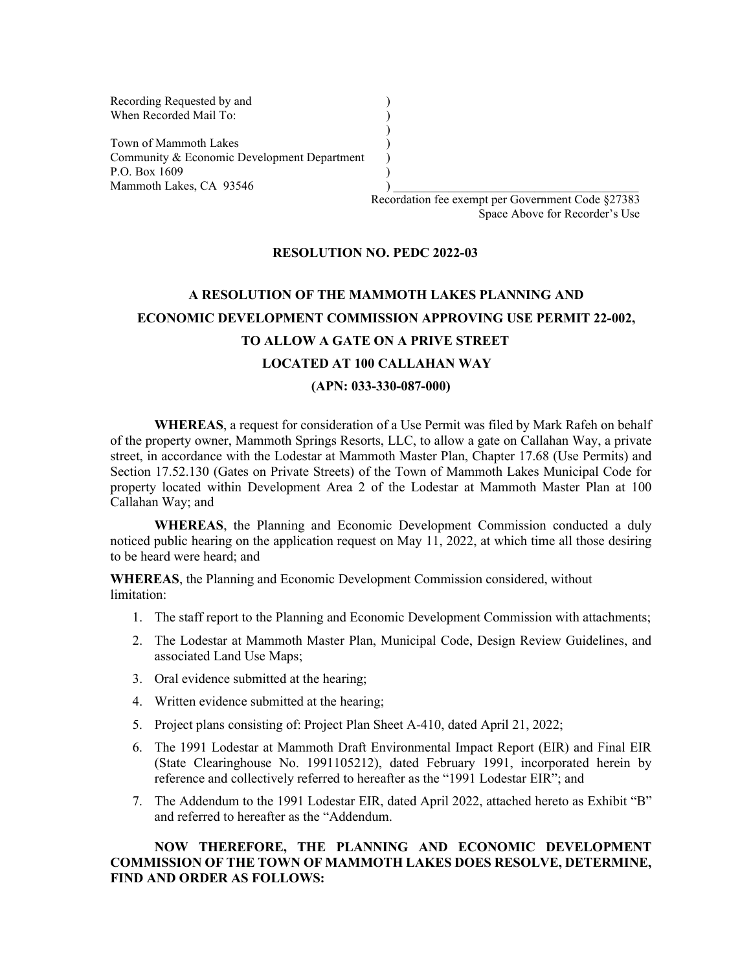Recording Requested by and () When Recorded Mail To: (a)

Town of Mammoth Lakes (1988) Community & Economic Development Department ) P.O. Box 1609 (a)  $Mammoth$  Lakes,  $CA$  93546  $\qquad \qquad$  )

> Recordation fee exempt per Government Code §27383 Space Above for Recorder's Use

#### **RESOLUTION NO. PEDC 2022-03**

)

# **A RESOLUTION OF THE MAMMOTH LAKES PLANNING AND ECONOMIC DEVELOPMENT COMMISSION APPROVING USE PERMIT 22-002, TO ALLOW A GATE ON A PRIVE STREET LOCATED AT 100 CALLAHAN WAY (APN: 033-330-087-000)**

**WHEREAS**, a request for consideration of a Use Permit was filed by Mark Rafeh on behalf of the property owner, Mammoth Springs Resorts, LLC, to allow a gate on Callahan Way, a private street, in accordance with the Lodestar at Mammoth Master Plan, Chapter 17.68 (Use Permits) and Section 17.52.130 (Gates on Private Streets) of the Town of Mammoth Lakes Municipal Code for property located within Development Area 2 of the Lodestar at Mammoth Master Plan at 100 Callahan Way; and

**WHEREAS**, the Planning and Economic Development Commission conducted a duly noticed public hearing on the application request on May 11, 2022, at which time all those desiring to be heard were heard; and

**WHEREAS**, the Planning and Economic Development Commission considered, without limitation:

- 1. The staff report to the Planning and Economic Development Commission with attachments;
- 2. The Lodestar at Mammoth Master Plan, Municipal Code, Design Review Guidelines, and associated Land Use Maps;
- 3. Oral evidence submitted at the hearing;
- 4. Written evidence submitted at the hearing;
- 5. Project plans consisting of: Project Plan Sheet A-410, dated April 21, 2022;
- 6. The 1991 Lodestar at Mammoth Draft Environmental Impact Report (EIR) and Final EIR (State Clearinghouse No. 1991105212), dated February 1991, incorporated herein by reference and collectively referred to hereafter as the "1991 Lodestar EIR"; and
- 7. The Addendum to the 1991 Lodestar EIR, dated April 2022, attached hereto as Exhibit "B" and referred to hereafter as the "Addendum.

#### **NOW THEREFORE, THE PLANNING AND ECONOMIC DEVELOPMENT COMMISSION OF THE TOWN OF MAMMOTH LAKES DOES RESOLVE, DETERMINE, FIND AND ORDER AS FOLLOWS:**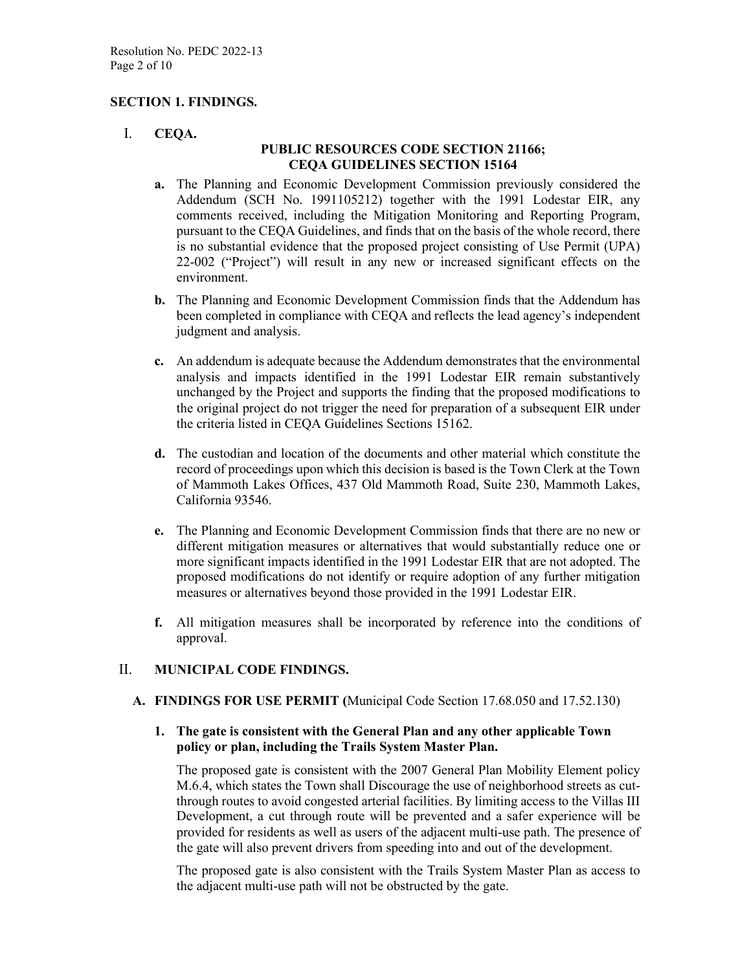#### **SECTION 1. FINDINGS.**

I. **CEQA.**

#### **PUBLIC RESOURCES CODE SECTION 21166; CEQA GUIDELINES SECTION 15164**

- **a.** The Planning and Economic Development Commission previously considered the Addendum (SCH No. 1991105212) together with the 1991 Lodestar EIR, any comments received, including the Mitigation Monitoring and Reporting Program, pursuant to the CEQA Guidelines, and finds that on the basis of the whole record, there is no substantial evidence that the proposed project consisting of Use Permit (UPA) 22-002 ("Project") will result in any new or increased significant effects on the environment.
- **b.** The Planning and Economic Development Commission finds that the Addendum has been completed in compliance with CEQA and reflects the lead agency's independent judgment and analysis.
- **c.** An addendum is adequate because the Addendum demonstrates that the environmental analysis and impacts identified in the 1991 Lodestar EIR remain substantively unchanged by the Project and supports the finding that the proposed modifications to the original project do not trigger the need for preparation of a subsequent EIR under the criteria listed in CEQA Guidelines Sections 15162.
- **d.** The custodian and location of the documents and other material which constitute the record of proceedings upon which this decision is based is the Town Clerk at the Town of Mammoth Lakes Offices, 437 Old Mammoth Road, Suite 230, Mammoth Lakes, California 93546.
- **e.** The Planning and Economic Development Commission finds that there are no new or different mitigation measures or alternatives that would substantially reduce one or more significant impacts identified in the 1991 Lodestar EIR that are not adopted. The proposed modifications do not identify or require adoption of any further mitigation measures or alternatives beyond those provided in the 1991 Lodestar EIR.
- **f.** All mitigation measures shall be incorporated by reference into the conditions of approval.

#### II. **MUNICIPAL CODE FINDINGS.**

**A. FINDINGS FOR USE PERMIT (**Municipal Code Section 17.68.050 and 17.52.130)

#### **1. The gate is consistent with the General Plan and any other applicable Town policy or plan, including the Trails System Master Plan.**

The proposed gate is consistent with the 2007 General Plan Mobility Element policy M.6.4, which states the Town shall Discourage the use of neighborhood streets as cutthrough routes to avoid congested arterial facilities. By limiting access to the Villas III Development, a cut through route will be prevented and a safer experience will be provided for residents as well as users of the adjacent multi-use path. The presence of the gate will also prevent drivers from speeding into and out of the development.

The proposed gate is also consistent with the Trails System Master Plan as access to the adjacent multi-use path will not be obstructed by the gate.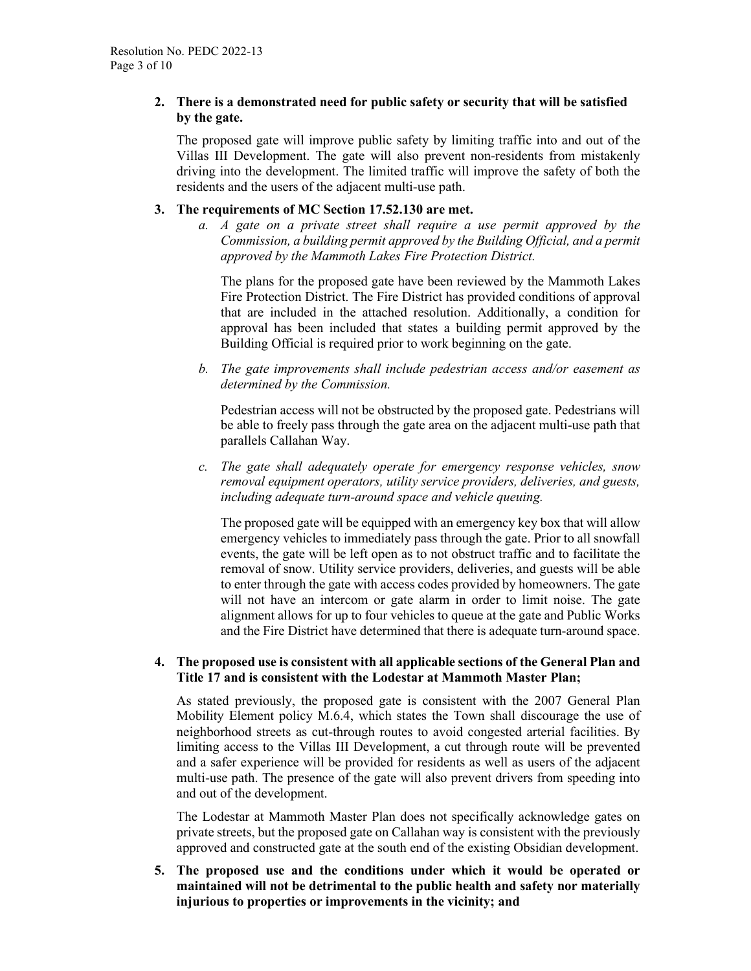#### **2. There is a demonstrated need for public safety or security that will be satisfied by the gate.**

The proposed gate will improve public safety by limiting traffic into and out of the Villas III Development. The gate will also prevent non-residents from mistakenly driving into the development. The limited traffic will improve the safety of both the residents and the users of the adjacent multi-use path.

#### **3. The requirements of MC Section 17.52.130 are met.**

*a. A gate on a private street shall require a use permit approved by the Commission, a building permit approved by the Building Official, and a permit approved by the Mammoth Lakes Fire Protection District.*

The plans for the proposed gate have been reviewed by the Mammoth Lakes Fire Protection District. The Fire District has provided conditions of approval that are included in the attached resolution. Additionally, a condition for approval has been included that states a building permit approved by the Building Official is required prior to work beginning on the gate.

*b. The gate improvements shall include pedestrian access and/or easement as determined by the Commission.*

Pedestrian access will not be obstructed by the proposed gate. Pedestrians will be able to freely pass through the gate area on the adjacent multi-use path that parallels Callahan Way.

*c. The gate shall adequately operate for emergency response vehicles, snow removal equipment operators, utility service providers, deliveries, and guests, including adequate turn-around space and vehicle queuing.*

The proposed gate will be equipped with an emergency key box that will allow emergency vehicles to immediately pass through the gate. Prior to all snowfall events, the gate will be left open as to not obstruct traffic and to facilitate the removal of snow. Utility service providers, deliveries, and guests will be able to enter through the gate with access codes provided by homeowners. The gate will not have an intercom or gate alarm in order to limit noise. The gate alignment allows for up to four vehicles to queue at the gate and Public Works and the Fire District have determined that there is adequate turn-around space.

#### **4. The proposed use is consistent with all applicable sections of the General Plan and Title 17 and is consistent with the Lodestar at Mammoth Master Plan;**

As stated previously, the proposed gate is consistent with the 2007 General Plan Mobility Element policy M.6.4, which states the Town shall discourage the use of neighborhood streets as cut-through routes to avoid congested arterial facilities. By limiting access to the Villas III Development, a cut through route will be prevented and a safer experience will be provided for residents as well as users of the adjacent multi-use path. The presence of the gate will also prevent drivers from speeding into and out of the development.

The Lodestar at Mammoth Master Plan does not specifically acknowledge gates on private streets, but the proposed gate on Callahan way is consistent with the previously approved and constructed gate at the south end of the existing Obsidian development.

**5. The proposed use and the conditions under which it would be operated or maintained will not be detrimental to the public health and safety nor materially injurious to properties or improvements in the vicinity; and**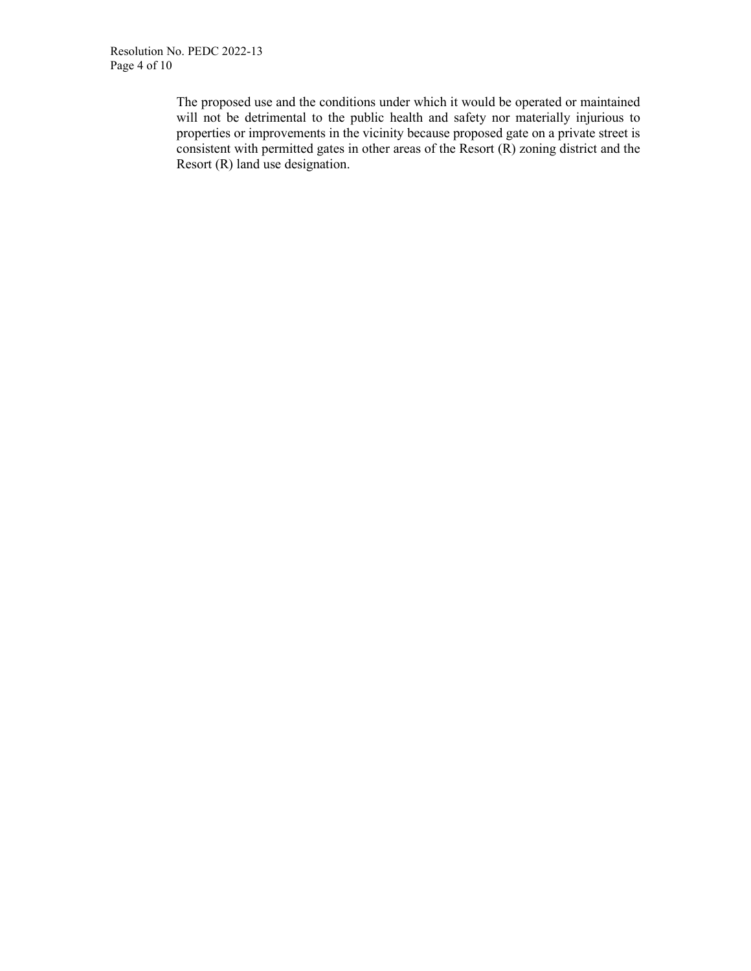The proposed use and the conditions under which it would be operated or maintained will not be detrimental to the public health and safety nor materially injurious to properties or improvements in the vicinity because proposed gate on a private street is consistent with permitted gates in other areas of the Resort  $(R)$  zoning district and the Resort (R) land use designation.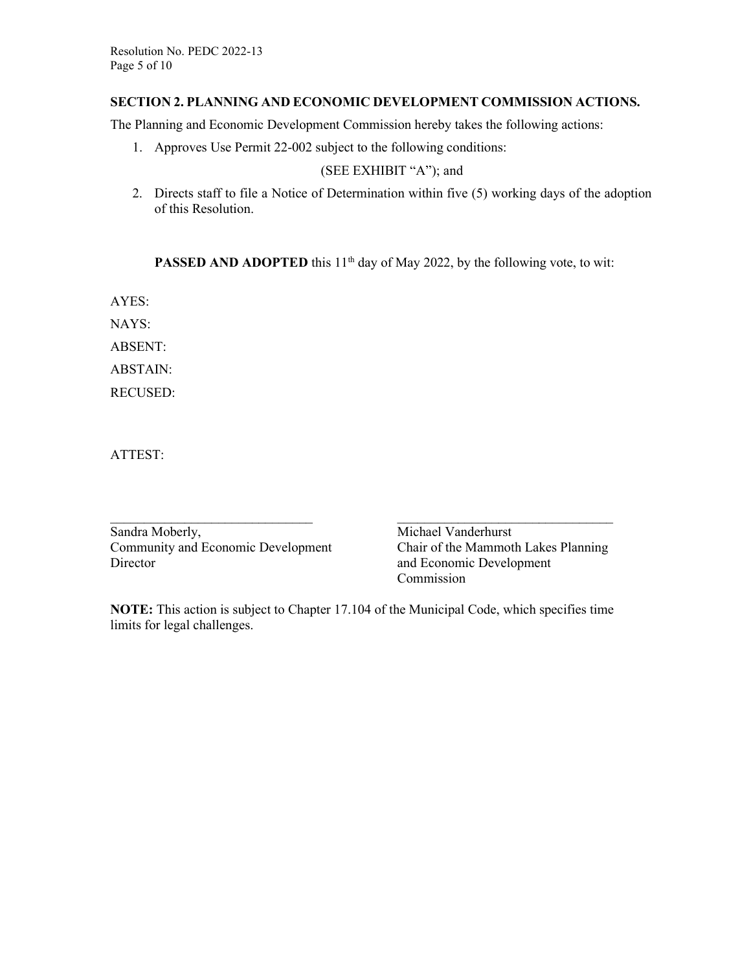#### **SECTION 2. PLANNING AND ECONOMIC DEVELOPMENT COMMISSION ACTIONS.**

The Planning and Economic Development Commission hereby takes the following actions:

1. Approves Use Permit 22-002 subject to the following conditions:

#### (SEE EXHIBIT "A"); and

2. Directs staff to file a Notice of Determination within five (5) working days of the adoption of this Resolution.

**PASSED AND ADOPTED** this 11<sup>th</sup> day of May 2022, by the following vote, to wit:

AYES:

NAYS:

ABSENT:

ABSTAIN:

RECUSED:

ATTEST:

| Sandra Moberly,                    |  |
|------------------------------------|--|
| Community and Economic Development |  |
| Director                           |  |

 $\_$  , and the contribution of the contribution of  $\_$  . The contribution of  $\_$  , and  $\_$  , and  $\_$  , and  $\_$ Michael Vanderhurst Chair of the Mammoth Lakes Planning and Economic Development Commission

**NOTE:** This action is subject to Chapter 17.104 of the Municipal Code, which specifies time limits for legal challenges.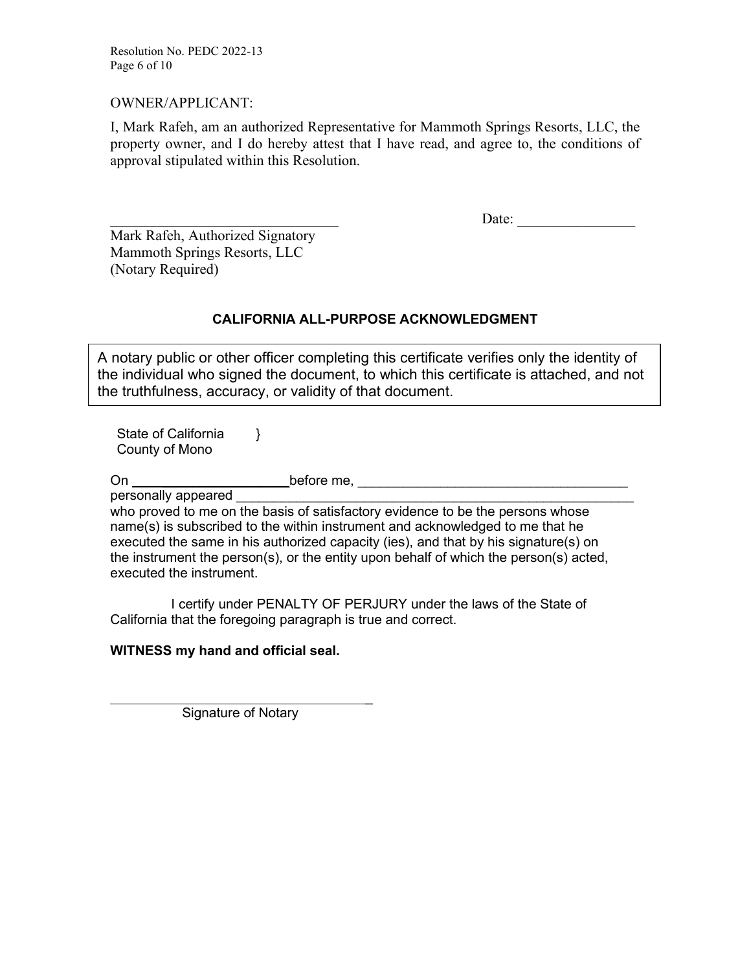Resolution No. PEDC 2022-13 Page 6 of 10

#### OWNER/APPLICANT:

I, Mark Rafeh, am an authorized Representative for Mammoth Springs Resorts, LLC, the property owner, and I do hereby attest that I have read, and agree to, the conditions of approval stipulated within this Resolution.

\_\_\_\_\_\_\_\_\_\_\_\_\_\_\_\_\_\_\_\_\_\_\_\_\_\_\_\_\_\_\_ Date: \_\_\_\_\_\_\_\_\_\_\_\_\_\_\_\_

Mark Rafeh, Authorized Signatory Mammoth Springs Resorts, LLC (Notary Required)

### **CALIFORNIA ALL-PURPOSE ACKNOWLEDGMENT**

A notary public or other officer completing this certificate verifies only the identity of the individual who signed the document, to which this certificate is attached, and not the truthfulness, accuracy, or validity of that document.

State of California County of Mono }

On \_\_\_\_\_\_\_\_\_\_\_\_\_\_\_\_\_before me, \_\_\_\_\_\_\_\_\_\_\_\_\_\_\_\_\_\_\_\_\_\_\_\_\_\_\_\_\_\_\_\_\_\_\_\_

personally appeared who proved to me on the basis of satisfactory evidence to be the persons whose name(s) is subscribed to the within instrument and acknowledged to me that he executed the same in his authorized capacity (ies), and that by his signature(s) on the instrument the person(s), or the entity upon behalf of which the person(s) acted, executed the instrument.

I certify under PENALTY OF PERJURY under the laws of the State of California that the foregoing paragraph is true and correct.

#### **WITNESS my hand and official seal.**

 \_ Signature of Notary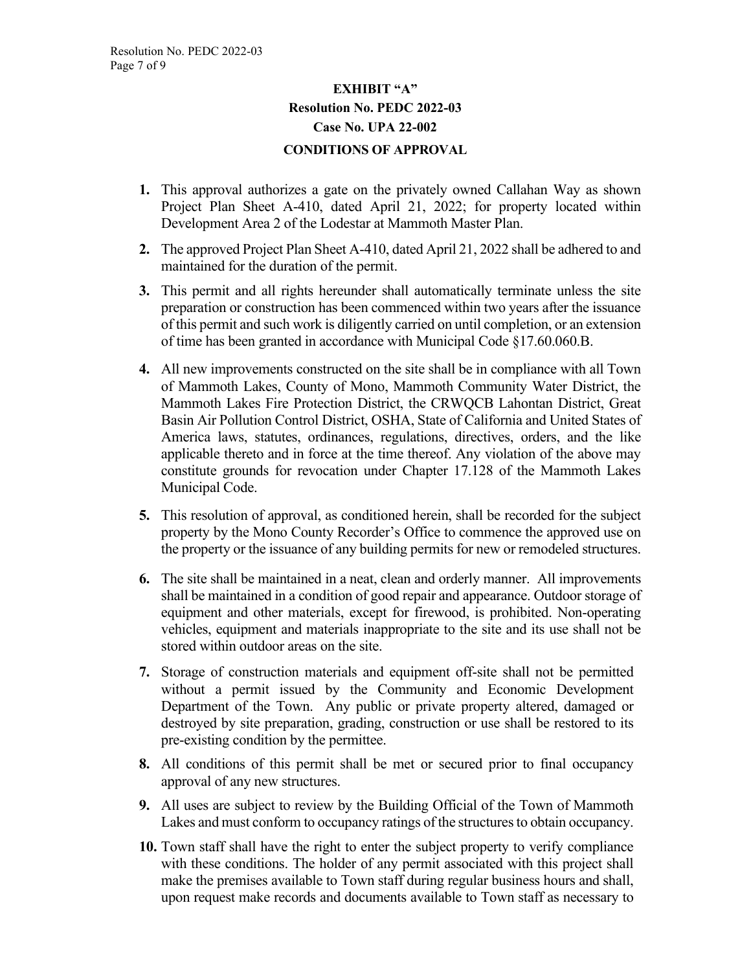## **EXHIBIT "A" Resolution No. PEDC 2022-03 Case No. UPA 22-002 CONDITIONS OF APPROVAL**

- **1.** This approval authorizes a gate on the privately owned Callahan Way as shown Project Plan Sheet A-410, dated April 21, 2022; for property located within Development Area 2 of the Lodestar at Mammoth Master Plan.
- **2.** The approved Project Plan Sheet A-410, dated April 21, 2022 shall be adhered to and maintained for the duration of the permit.
- **3.** This permit and all rights hereunder shall automatically terminate unless the site preparation or construction has been commenced within two years after the issuance of this permit and such work is diligently carried on until completion, or an extension of time has been granted in accordance with Municipal Code §17.60.060.B.
- **4.** All new improvements constructed on the site shall be in compliance with all Town of Mammoth Lakes, County of Mono, Mammoth Community Water District, the Mammoth Lakes Fire Protection District, the CRWQCB Lahontan District, Great Basin Air Pollution Control District, OSHA, State of California and United States of America laws, statutes, ordinances, regulations, directives, orders, and the like applicable thereto and in force at the time thereof. Any violation of the above may constitute grounds for revocation under Chapter 17.128 of the Mammoth Lakes Municipal Code.
- **5.** This resolution of approval, as conditioned herein, shall be recorded for the subject property by the Mono County Recorder's Office to commence the approved use on the property or the issuance of any building permits for new or remodeled structures.
- **6.** The site shall be maintained in a neat, clean and orderly manner. All improvements shall be maintained in a condition of good repair and appearance. Outdoor storage of equipment and other materials, except for firewood, is prohibited. Non-operating vehicles, equipment and materials inappropriate to the site and its use shall not be stored within outdoor areas on the site.
- **7.** Storage of construction materials and equipment off-site shall not be permitted without a permit issued by the Community and Economic Development Department of the Town. Any public or private property altered, damaged or destroyed by site preparation, grading, construction or use shall be restored to its pre-existing condition by the permittee.
- **8.** All conditions of this permit shall be met or secured prior to final occupancy approval of any new structures.
- **9.** All uses are subject to review by the Building Official of the Town of Mammoth Lakes and must conform to occupancy ratings of the structures to obtain occupancy.
- **10.** Town staff shall have the right to enter the subject property to verify compliance with these conditions. The holder of any permit associated with this project shall make the premises available to Town staff during regular business hours and shall, upon request make records and documents available to Town staff as necessary to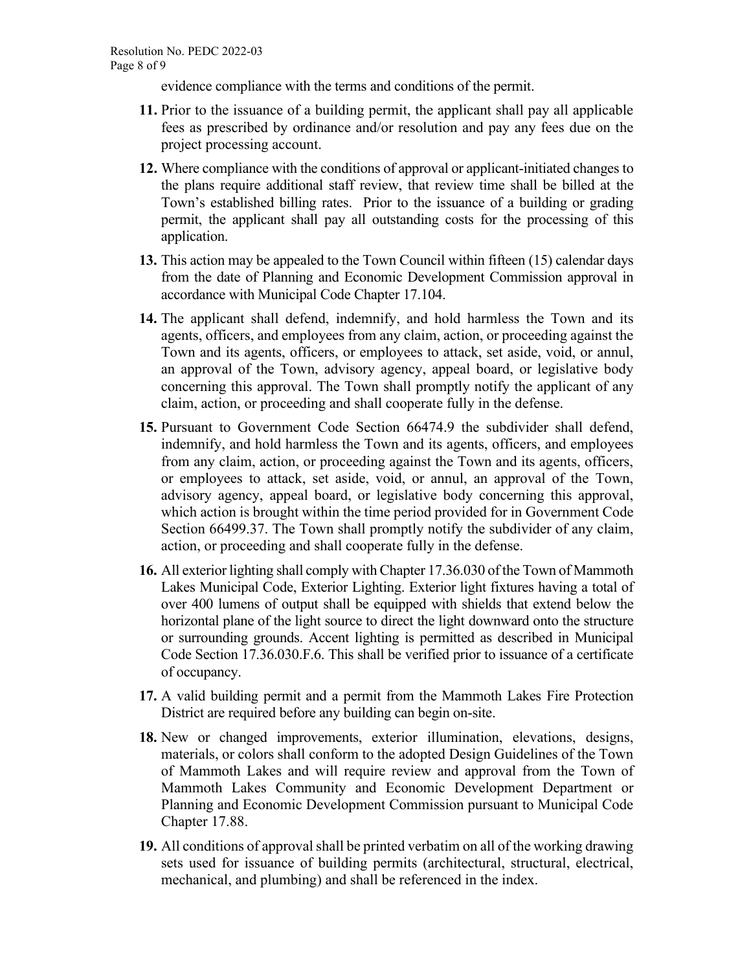evidence compliance with the terms and conditions of the permit.

- **11.** Prior to the issuance of a building permit, the applicant shall pay all applicable fees as prescribed by ordinance and/or resolution and pay any fees due on the project processing account.
- **12.** Where compliance with the conditions of approval or applicant-initiated changes to the plans require additional staff review, that review time shall be billed at the Town's established billing rates. Prior to the issuance of a building or grading permit, the applicant shall pay all outstanding costs for the processing of this application.
- **13.** This action may be appealed to the Town Council within fifteen (15) calendar days from the date of Planning and Economic Development Commission approval in accordance with Municipal Code Chapter 17.104.
- **14.** The applicant shall defend, indemnify, and hold harmless the Town and its agents, officers, and employees from any claim, action, or proceeding against the Town and its agents, officers, or employees to attack, set aside, void, or annul, an approval of the Town, advisory agency, appeal board, or legislative body concerning this approval. The Town shall promptly notify the applicant of any claim, action, or proceeding and shall cooperate fully in the defense.
- **15.** Pursuant to Government Code Section 66474.9 the subdivider shall defend, indemnify, and hold harmless the Town and its agents, officers, and employees from any claim, action, or proceeding against the Town and its agents, officers, or employees to attack, set aside, void, or annul, an approval of the Town, advisory agency, appeal board, or legislative body concerning this approval, which action is brought within the time period provided for in Government Code Section 66499.37. The Town shall promptly notify the subdivider of any claim, action, or proceeding and shall cooperate fully in the defense.
- **16.** All exterior lighting shall comply with Chapter 17.36.030 of the Town of Mammoth Lakes Municipal Code, Exterior Lighting. Exterior light fixtures having a total of over 400 lumens of output shall be equipped with shields that extend below the horizontal plane of the light source to direct the light downward onto the structure or surrounding grounds. Accent lighting is permitted as described in Municipal Code Section 17.36.030.F.6. This shall be verified prior to issuance of a certificate of occupancy.
- **17.** A valid building permit and a permit from the Mammoth Lakes Fire Protection District are required before any building can begin on-site.
- **18.** New or changed improvements, exterior illumination, elevations, designs, materials, or colors shall conform to the adopted Design Guidelines of the Town of Mammoth Lakes and will require review and approval from the Town of Mammoth Lakes Community and Economic Development Department or Planning and Economic Development Commission pursuant to Municipal Code Chapter 17.88.
- **19.** All conditions of approval shall be printed verbatim on all of the working drawing sets used for issuance of building permits (architectural, structural, electrical, mechanical, and plumbing) and shall be referenced in the index.